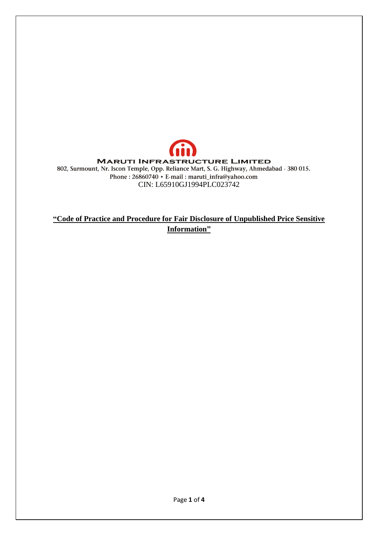

# **"Code of Practice and Procedure for Fair Disclosure of Unpublished Price Sensitive Information"**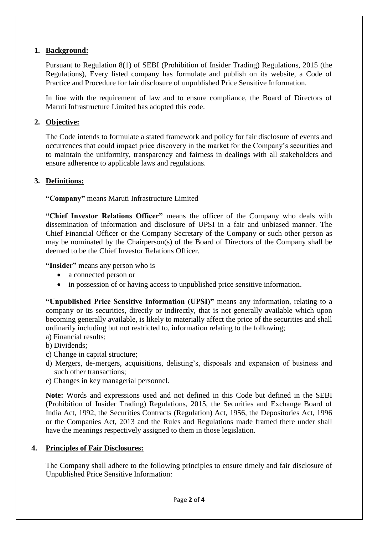#### **1. Background:**

Pursuant to Regulation 8(1) of SEBI (Prohibition of Insider Trading) Regulations, 2015 (the Regulations), Every listed company has formulate and publish on its website, a Code of Practice and Procedure for fair disclosure of unpublished Price Sensitive Information.

In line with the requirement of law and to ensure compliance, the Board of Directors of Maruti Infrastructure Limited has adopted this code.

### **2. Objective:**

The Code intends to formulate a stated framework and policy for fair disclosure of events and occurrences that could impact price discovery in the market for the Company's securities and to maintain the uniformity, transparency and fairness in dealings with all stakeholders and ensure adherence to applicable laws and regulations.

## **3. Definitions:**

**"Company"** means Maruti Infrastructure Limited

**"Chief Investor Relations Officer"** means the officer of the Company who deals with dissemination of information and disclosure of UPSI in a fair and unbiased manner. The Chief Financial Officer or the Company Secretary of the Company or such other person as may be nominated by the Chairperson(s) of the Board of Directors of the Company shall be deemed to be the Chief Investor Relations Officer.

**"Insider"** means any person who is

- a connected person or
- in possession of or having access to unpublished price sensitive information.

**"Unpublished Price Sensitive Information (UPSI)"** means any information, relating to a company or its securities, directly or indirectly, that is not generally available which upon becoming generally available, is likely to materially affect the price of the securities and shall ordinarily including but not restricted to, information relating to the following;

- a) Financial results; b) Dividends;
- c) Change in capital structure;
- d) Mergers, de-mergers, acquisitions, delisting's, disposals and expansion of business and such other transactions;
- e) Changes in key managerial personnel.

**Note:** Words and expressions used and not defined in this Code but defined in the SEBI (Prohibition of Insider Trading) Regulations, 2015, the Securities and Exchange Board of India Act, 1992, the Securities Contracts (Regulation) Act, 1956, the Depositories Act, 1996 or the Companies Act, 2013 and the Rules and Regulations made framed there under shall have the meanings respectively assigned to them in those legislation.

#### **4. Principles of Fair Disclosures:**

The Company shall adhere to the following principles to ensure timely and fair disclosure of Unpublished Price Sensitive Information: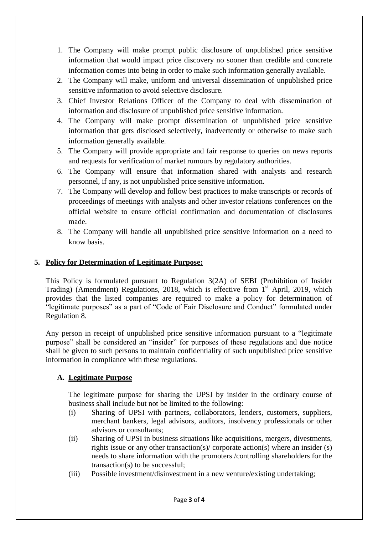- 1. The Company will make prompt public disclosure of unpublished price sensitive information that would impact price discovery no sooner than credible and concrete information comes into being in order to make such information generally available.
- 2. The Company will make, uniform and universal dissemination of unpublished price sensitive information to avoid selective disclosure.
- 3. Chief Investor Relations Officer of the Company to deal with dissemination of information and disclosure of unpublished price sensitive information.
- 4. The Company will make prompt dissemination of unpublished price sensitive information that gets disclosed selectively, inadvertently or otherwise to make such information generally available.
- 5. The Company will provide appropriate and fair response to queries on news reports and requests for verification of market rumours by regulatory authorities.
- 6. The Company will ensure that information shared with analysts and research personnel, if any, is not unpublished price sensitive information.
- 7. The Company will develop and follow best practices to make transcripts or records of proceedings of meetings with analysts and other investor relations conferences on the official website to ensure official confirmation and documentation of disclosures made.
- 8. The Company will handle all unpublished price sensitive information on a need to know basis.

## **5. Policy for Determination of Legitimate Purpose:**

This Policy is formulated pursuant to Regulation 3(2A) of SEBI (Prohibition of Insider Trading) (Amendment) Regulations, 2018, which is effective from  $1<sup>st</sup>$  April, 2019, which provides that the listed companies are required to make a policy for determination of "legitimate purposes" as a part of "Code of Fair Disclosure and Conduct" formulated under Regulation 8.

Any person in receipt of unpublished price sensitive information pursuant to a "legitimate purpose" shall be considered an "insider" for purposes of these regulations and due notice shall be given to such persons to maintain confidentiality of such unpublished price sensitive information in compliance with these regulations.

## **A. Legitimate Purpose**

The legitimate purpose for sharing the UPSI by insider in the ordinary course of business shall include but not be limited to the following:

- (i) Sharing of UPSI with partners, collaborators, lenders, customers, suppliers, merchant bankers, legal advisors, auditors, insolvency professionals or other advisors or consultants;
- (ii) Sharing of UPSI in business situations like acquisitions, mergers, divestments, rights issue or any other transaction(s)/ corporate action(s) where an insider (s) needs to share information with the promoters /controlling shareholders for the transaction(s) to be successful;
- (iii) Possible investment/disinvestment in a new venture/existing undertaking;